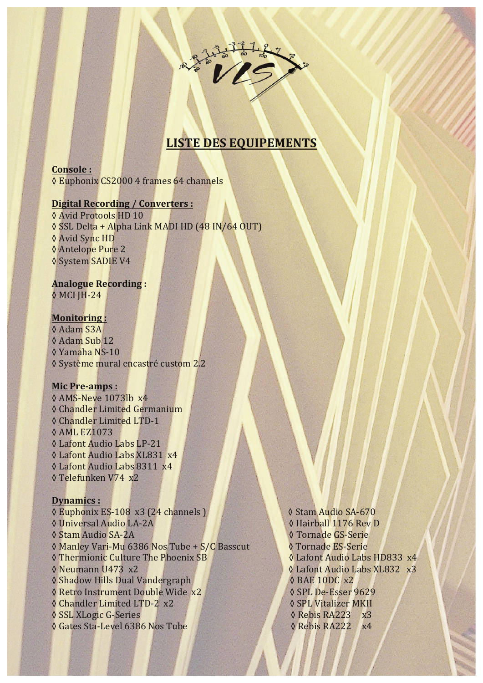

# **LISTE DES EQUIPEMENTS**

**Console :** ◊ Euphonix CS2000 4 frames 64 channels

# **Digital Recording / Converters :**

♦ Avid Protools HD 10 ◊ SSL Delta + Alpha Link MADI HD (48 IN/64 OUT) ◊ Avid Sync HD ◊ Antelope Pure 2 ◊ System SADIE V4

### **Analogue Recording :** ◊ MCI JH-24

**Monitoring :** ◊ Adam S3A ◊ Adam Sub 12 ◊ Yamaha NS-10 ◊ Système mural encastré custom 2.2

#### **Mic Pre-amps :**

◊ AMS-Neve 1073lb x4 **♦ Chandler Limited Germanium** ♦ Chandler Limited LTD-1 ◊ AML EZ1073 ◊ Lafont Audio Labs LP-21 ◊ Lafont Audio Labs XL831 x4 ◊ Lafont Audio Labs 8311 x4 ◊ Telefunken V74 x2

#### **Dynamics :**

◊ Euphonix ES-108 x3 (24 channels ) ◊ Stam Audio SA-670 ◊ Universal Audio LA-2A ◊ Hairball 1176 Rev D ◊ Stam Audio SA-2A ◊ Tornade GS-Serie ◊ Manley Vari-Mu 6386 Nos Tube + S/C Basscut ◊ Tornade ES-Serie ◊ Thermionic Culture The Phoenix SB ◊ Lafont Audio Labs HD833 x4 ◊ Neumann U473 x2 ◊ Lafont Audio Labs XL832 x3 ◊ Shadow Hills Dual Vandergraph ◊ BAE 10DC x2 ◊ Retro Instrument Double Wide x2 ◊ SPL De-Esser 9629 ◊ Chandler Limited LTD-2 x2 ◊ SPL Vitalizer MKII ◊ SSL XLogic G-Series ◊ Rebis RA223 x3 ◊ Gates Sta-Level 6386 Nos Tube ◊ Rebis RA222 x4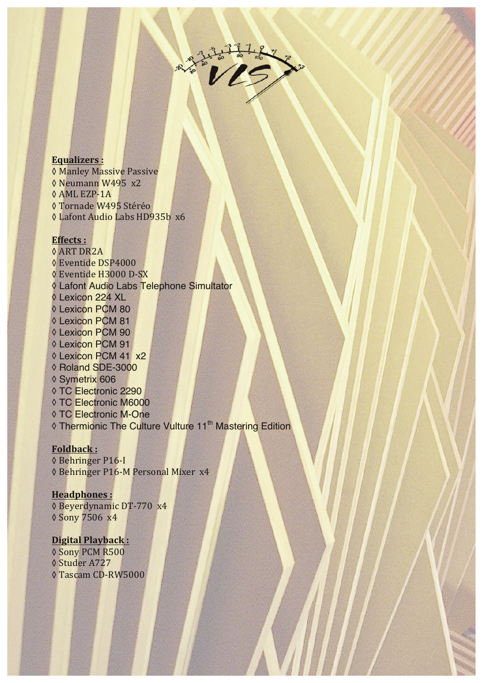

#### **Equalizers :**

**♦ Manley Massive Passive** ◊ Neumann W495 x2 ◊ AML EZP-1A ◊ Tornade W495 Stéréo ◊ Lafont Audio Labs HD935b x6

### **Effects :**

◊ ART DR2A ◊ Eventide DSP4000 ◊ Eventide H3000 D-SX ◊ Lafont Audio Labs Telephone Simultator ◊ Lexicon 224 XL ◊ Lexicon PCM 80 ◊ Lexicon PCM 81 ◊ Lexicon PCM 90 ◊ Lexicon PCM 91 ◊ Lexicon PCM 41 x2 ◊ Roland SDE-3000 ◊ Symetrix 606 ◊ TC Electronic 2290 ◊ TC Electronic M6000 ◊ TC Electronic M-One ◊ Thermionic The Culture Vulture 11th Mastering Edition

#### **Foldback :**

◊ Behringer P16-I ◊ Behringer P16-M Personal Mixer x4

### **Headphones :**

◊ Beyerdynamic DT-770 x4 ◊ Sony 7506 x4

#### **Digital Playback :** ◊ Sony PCM R500

◊ Studer A727 ◊ Tascam CD-RW5000